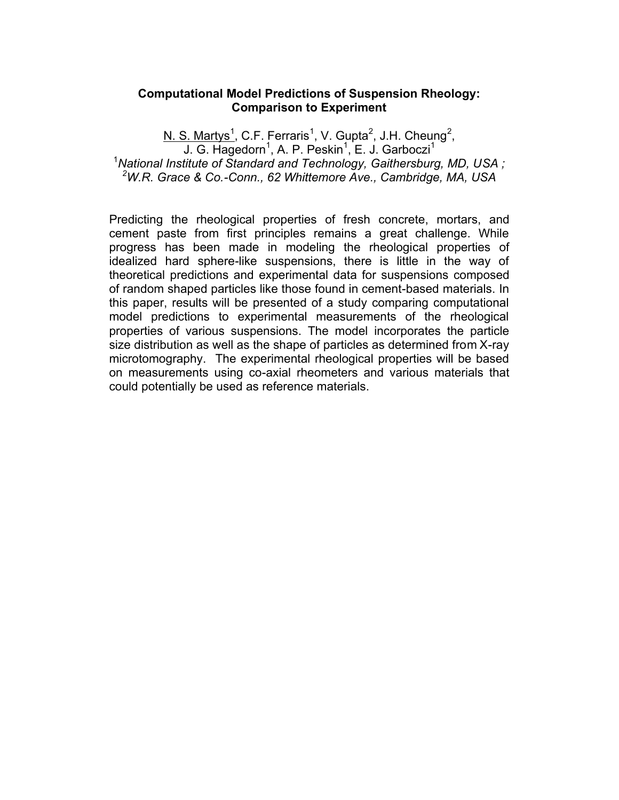### **Computational Model Predictions of Suspension Rheology: Comparison to Experiment**

N. S. Martys<sup>1</sup>, C.F. Ferraris<sup>1</sup>, V. Gupta<sup>2</sup>, J.H. Cheung<sup>2</sup>, J. G. Hagedorn<sup>1</sup>, A. P. Peskin<sup>1</sup>, E. J. Garboczi<sup>1</sup> <sup>1</sup>National Institute of Standard and Technology, Gaithersburg, MD, USA; <sup>2</sup>W.R. Grace & Co.-Conn., 62 Whittemore Ave., Cambridge, MA, USA

Predicting the rheological properties of fresh concrete, mortars, and cement paste from first principles remains a great challenge. While progress has been made in modeling the rheological properties of idealized hard sphere-like suspensions, there is little in the way of theoretical predictions and experimental data for suspensions composed of random shaped particles like those found in cement-based materials. In this paper, results will be presented of a study comparing computational model predictions to experimental measurements of the rheological properties of various suspensions. The model incorporates the particle size distribution as well as the shape of particles as determined from X-ray microtomography. The experimental rheological properties will be based on measurements using co-axial rheometers and various materials that could potentially be used as reference materials.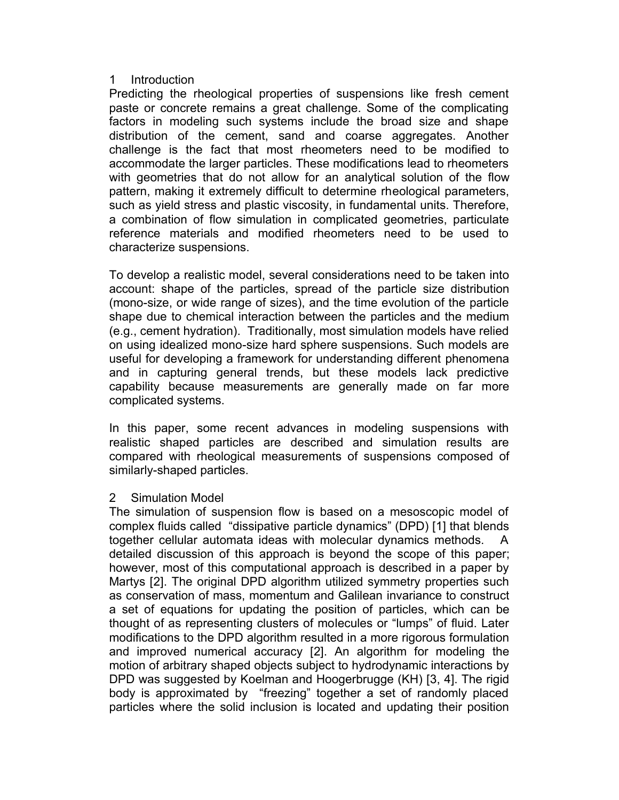#### $\mathbf{1}$ Introduction

Predicting the rheological properties of suspensions like fresh cement paste or concrete remains a great challenge. Some of the complicating factors in modeling such systems include the broad size and shape distribution of the cement, sand and coarse aggregates. Another challenge is the fact that most rheometers need to be modified to accommodate the larger particles. These modifications lead to rheometers with geometries that do not allow for an analytical solution of the flow pattern, making it extremely difficult to determine rheological parameters, such as yield stress and plastic viscosity, in fundamental units. Therefore, a combination of flow simulation in complicated geometries, particulate reference materials and modified rheometers need to be used to characterize suspensions.

To develop a realistic model, several considerations need to be taken into account: shape of the particles, spread of the particle size distribution (mono-size, or wide range of sizes), and the time evolution of the particle shape due to chemical interaction between the particles and the medium (e.g., cement hydration). Traditionally, most simulation models have relied on using idealized mono-size hard sphere suspensions. Such models are useful for developing a framework for understanding different phenomena and in capturing general trends, but these models lack predictive capability because measurements are generally made on far more complicated systems.

In this paper, some recent advances in modeling suspensions with realistic shaped particles are described and simulation results are compared with rheological measurements of suspensions composed of similarly-shaped particles.

#### $\overline{2}$ **Simulation Model**

The simulation of suspension flow is based on a mesoscopic model of complex fluids called "dissipative particle dynamics" (DPD) [1] that blends together cellular automata ideas with molecular dynamics methods.  $\mathsf{A}$ detailed discussion of this approach is beyond the scope of this paper; however, most of this computational approach is described in a paper by Martys [2]. The original DPD algorithm utilized symmetry properties such as conservation of mass, momentum and Galilean invariance to construct a set of equations for updating the position of particles, which can be thought of as representing clusters of molecules or "lumps" of fluid. Later modifications to the DPD algorithm resulted in a more rigorous formulation and improved numerical accuracy [2]. An algorithm for modeling the motion of arbitrary shaped objects subject to hydrodynamic interactions by DPD was suggested by Koelman and Hoogerbrugge (KH) [3, 4]. The rigid body is approximated by "freezing" together a set of randomly placed particles where the solid inclusion is located and updating their position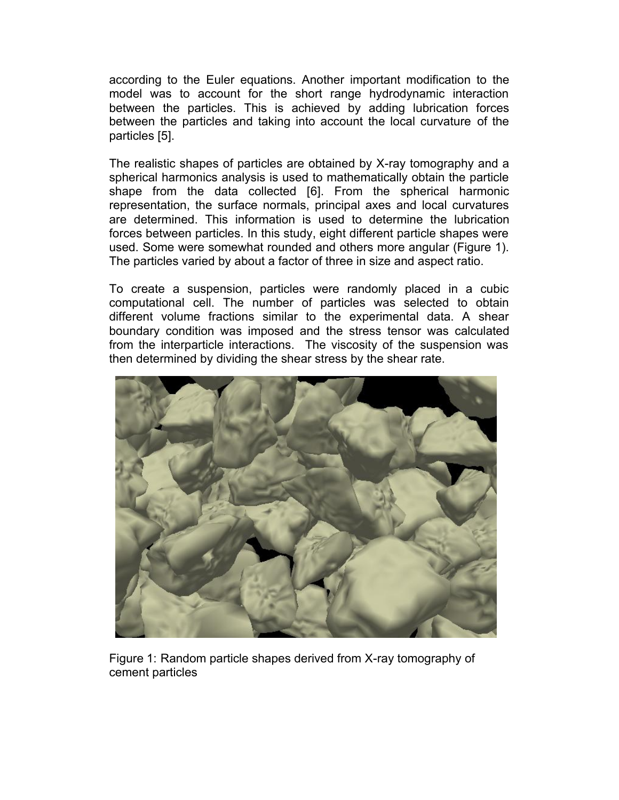according to the Euler equations. Another important modification to the model was to account for the short range hydrodynamic interaction between the particles. This is achieved by adding lubrication forces between the particles and taking into account the local curvature of the particles [5].

The realistic shapes of particles are obtained by X-ray tomography and a spherical harmonics analysis is used to mathematically obtain the particle shape from the data collected [6]. From the spherical harmonic representation, the surface normals, principal axes and local curvatures are determined. This information is used to determine the lubrication forces between particles. In this study, eight different particle shapes were used. Some were somewhat rounded and others more angular (Figure 1). The particles varied by about a factor of three in size and aspect ratio.

To create a suspension, particles were randomly placed in a cubic computational cell. The number of particles was selected to obtain different volume fractions similar to the experimental data. A shear boundary condition was imposed and the stress tensor was calculated from the interparticle interactions. The viscosity of the suspension was then determined by dividing the shear stress by the shear rate.



Figure 1: Random particle shapes derived from X-ray tomography of cement particles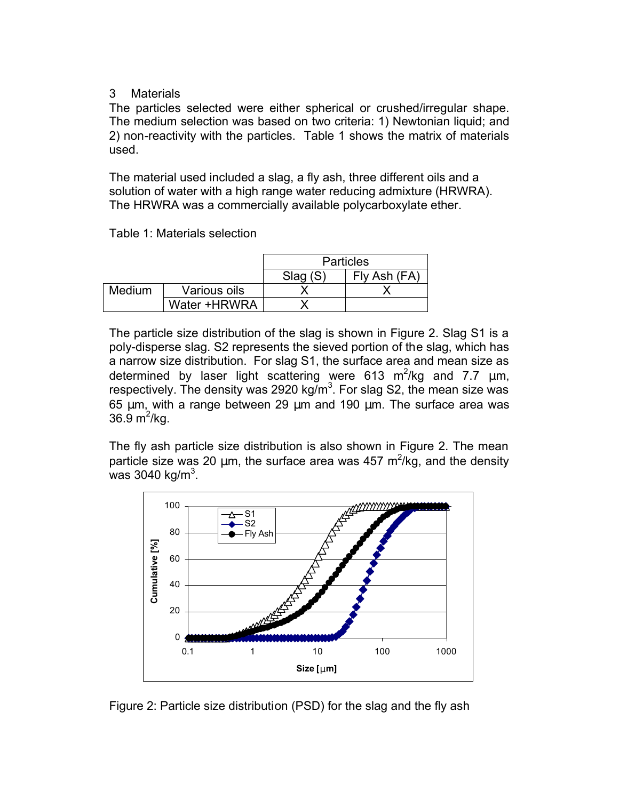### $\mathcal{S}$ **Materials**

The particles selected were either spherical or crushed/irregular shape. The medium selection was based on two criteria: 1) Newtonian liquid; and 2) non-reactivity with the particles. Table 1 shows the matrix of materials used.

The material used included a slag, a fly ash, three different oils and a solution of water with a high range water reducing admixture (HRWRA). The HRWRA was a commercially available polycarboxylate ether.

Table 1: Materials selection

|        |              | <b>Particles</b> |              |
|--------|--------------|------------------|--------------|
|        |              | Slag(S)          | Fly Ash (FA) |
| Medium | Various oils |                  |              |
|        | Water +HRWRA |                  |              |

The particle size distribution of the slag is shown in Figure 2. Slag S1 is a poly-disperse slag. S2 represents the sieved portion of the slag, which has a narrow size distribution. For slag S1, the surface area and mean size as determined by laser light scattering were  $613 \text{ m}^2/\text{kg}$  and 7.7  $\mu$ m, respectively. The density was 2920 kg/m<sup>3</sup>. For slag S2, the mean size was 65 μm, with a range between 29 μm and 190 μm. The surface area was 36.9  $m^2$ /kg.

The fly ash particle size distribution is also shown in Figure 2. The mean particle size was 20  $\mu$ m, the surface area was 457 m<sup>2</sup>/kg, and the density was 3040 kg/m<sup>3</sup>.



Figure 2: Particle size distribution (PSD) for the slag and the fly ash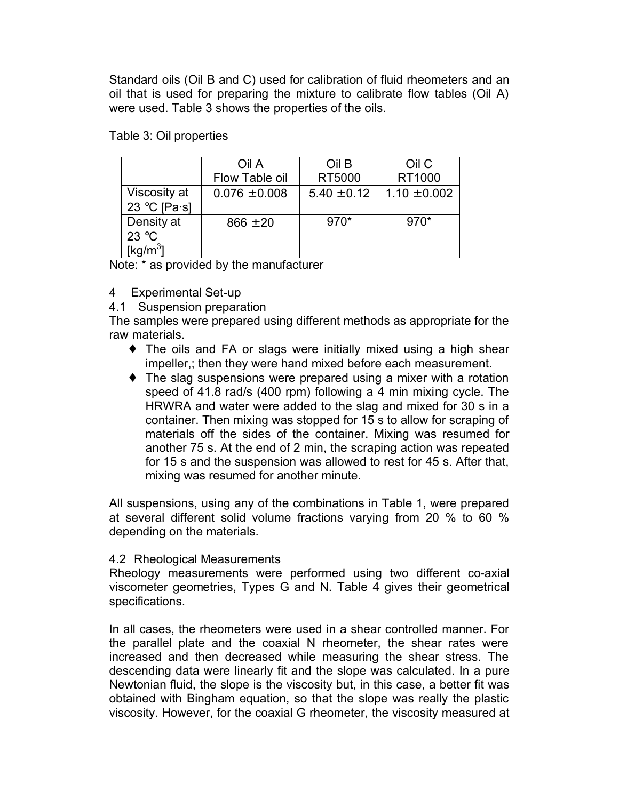Standard oils (Oil B and C) used for calibration of fluid rheometers and an oil that is used for preparing the mixture to calibrate flow tables (Oil A) were used. Table 3 shows the properties of the oils.

|                | Oil A             | Oil B           | Oil C            |
|----------------|-------------------|-----------------|------------------|
|                | Flow Table oil    | RT5000          | RT1000           |
| Viscosity at   | $0.076 \pm 0.008$ | $5.40 \pm 0.12$ | $1.10 \pm 0.002$ |
| 23 °C [Pa·s]   |                   |                 |                  |
| Density at     | $866 \pm 20$      | $970*$          | $970*$           |
| 23 $\degree$ C |                   |                 |                  |
| [kg/m $^3$ ]   |                   |                 |                  |

Table 3: Oil properties

Note: \* as provided by the manufacturer

- 4 Experimental Set-up
- 4.1 Suspension preparation

The samples were prepared using different methods as appropriate for the raw materials.

- The oils and FA or slags were initially mixed using a high shear impeller,; then they were hand mixed before each measurement.
- The slag suspensions were prepared using a mixer with a rotation speed of 41.8 rad/s (400 rpm) following a 4 min mixing cycle. The HRWRA and water were added to the slag and mixed for 30 s in a container. Then mixing was stopped for 15 s to allow for scraping of materials off the sides of the container. Mixing was resumed for another 75 s. At the end of 2 min, the scraping action was repeated for 15 s and the suspension was allowed to rest for 45 s. After that. mixing was resumed for another minute.

All suspensions, using any of the combinations in Table 1, were prepared at several different solid volume fractions varying from 20 % to 60 % depending on the materials.

### 4.2 Rheological Measurements

Rheology measurements were performed using two different co-axial viscometer geometries, Types G and N. Table 4 gives their geometrical specifications.

In all cases, the rheometers were used in a shear controlled manner. For the parallel plate and the coaxial N rheometer, the shear rates were increased and then decreased while measuring the shear stress. The descending data were linearly fit and the slope was calculated. In a pure Newtonian fluid, the slope is the viscosity but, in this case, a better fit was obtained with Bingham equation, so that the slope was really the plastic viscosity. However, for the coaxial G rheometer, the viscosity measured at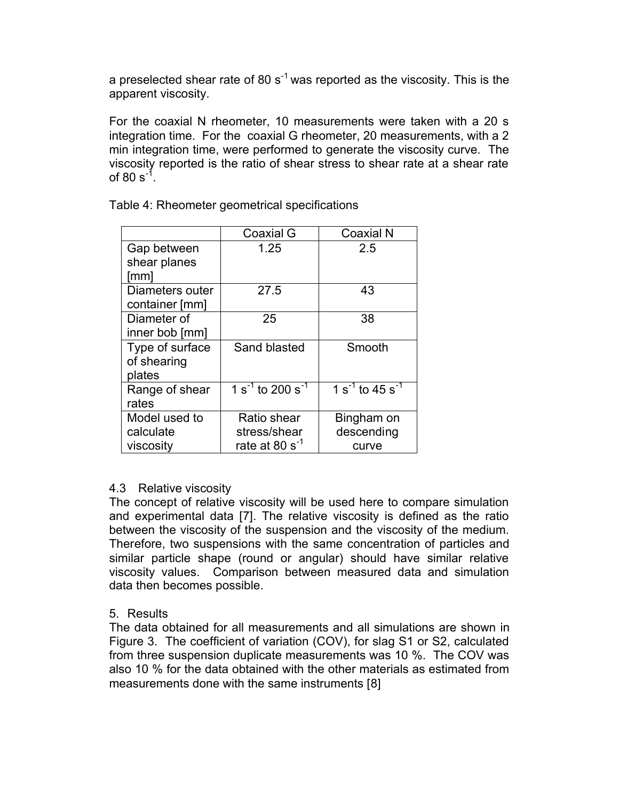a preselected shear rate of 80  $s^{-1}$  was reported as the viscosity. This is the apparent viscosity.

For the coaxial N rheometer, 10 measurements were taken with a 20 s integration time. For the coaxial G rheometer, 20 measurements, with a 2 min integration time, were performed to generate the viscosity curve. The viscosity reported is the ratio of shear stress to shear rate at a shear rate of 80  $s^{-1}$ .

|                 | Coaxial G                                             | Coaxial N                        |
|-----------------|-------------------------------------------------------|----------------------------------|
| Gap between     | 1.25                                                  | 2.5                              |
| shear planes    |                                                       |                                  |
| [mm]            |                                                       |                                  |
| Diameters outer | 27.5                                                  | 43                               |
| container [mm]  |                                                       |                                  |
| Diameter of     | 25                                                    | 38                               |
| inner bob [mm]  |                                                       |                                  |
| Type of surface | Sand blasted                                          | Smooth                           |
| of shearing     |                                                       |                                  |
| plates          |                                                       |                                  |
| Range of shear  | $\overline{1}$ s <sup>-1</sup> to 200 s <sup>-1</sup> | $1 s^{-1}$ to 45 s <sup>-1</sup> |
| rates           |                                                       |                                  |
| Model used to   | Ratio shear                                           | Bingham on                       |
| calculate       | stress/shear                                          | descending                       |
| viscosity       | rate at 80 $s^{-1}$                                   | curve                            |

Table 4: Rheometer geometrical specifications

# 4.3 Relative viscosity

The concept of relative viscosity will be used here to compare simulation and experimental data [7]. The relative viscosity is defined as the ratio between the viscosity of the suspension and the viscosity of the medium. Therefore, two suspensions with the same concentration of particles and similar particle shape (round or angular) should have similar relative viscosity values. Comparison between measured data and simulation data then becomes possible.

# 5 Results

The data obtained for all measurements and all simulations are shown in Figure 3. The coefficient of variation (COV), for slag S1 or S2, calculated from three suspension duplicate measurements was 10 %. The COV was also 10 % for the data obtained with the other materials as estimated from measurements done with the same instruments [8]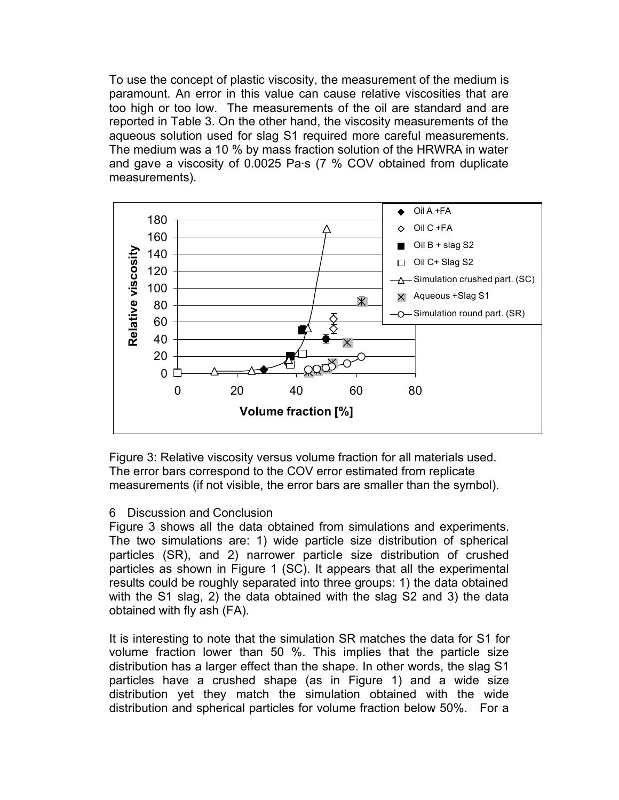To use the concept of plastic viscosity, the measurement of the medium is paramount. An error in this value can cause relative viscosities that are too high or too low. The measurements of the oil are standard and are reported in Table 3. On the other hand, the viscosity measurements of the aqueous solution used for slag S1 required more careful measurements. The medium was a 10 % by mass fraction solution of the HRWRA in water and gave a viscosity of 0.0025 Pa·s (7 % COV obtained from duplicate measurements).



Figure 3: Relative viscosity versus volume fraction for all materials used. The error bars correspond to the COV error estimated from replicate measurements (if not visible, the error bars are smaller than the symbol).

# 6 Discussion and Conclusion

Figure 3 shows all the data obtained from simulations and experiments. The two simulations are: 1) wide particle size distribution of spherical particles (SR), and 2) narrower particle size distribution of crushed particles as shown in Figure 1 (SC). It appears that all the experimental results could be roughly separated into three groups: 1) the data obtained with the S1 slag, 2) the data obtained with the slag S2 and 3) the data obtained with fly ash (FA).

It is interesting to note that the simulation SR matches the data for S1 for volume fraction lower than 50 %. This implies that the particle size distribution has a larger effect than the shape. In other words, the slag S1 particles have a crushed shape (as in Figure 1) and a wide size distribution yet they match the simulation obtained with the wide distribution and spherical particles for volume fraction below 50%. For a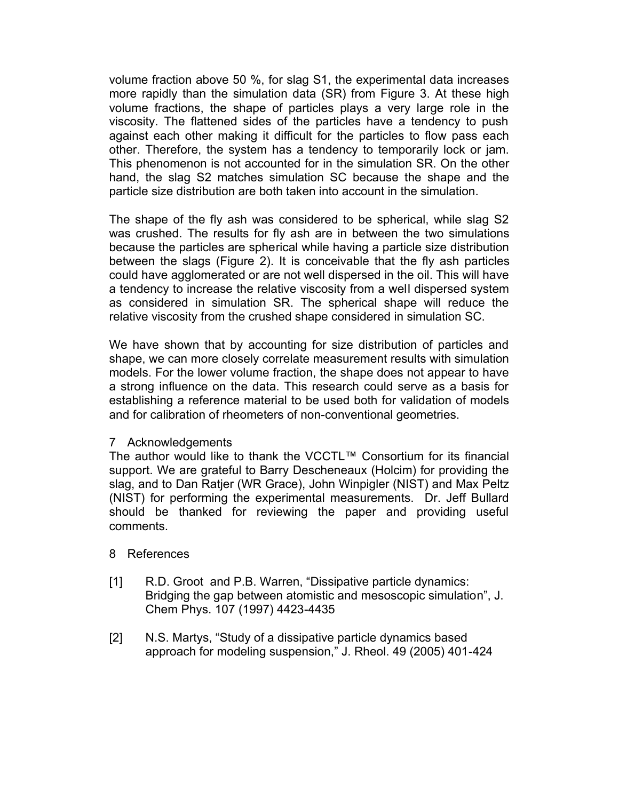volume fraction above 50 %, for slag S1, the experimental data increases more rapidly than the simulation data (SR) from Figure 3. At these high volume fractions, the shape of particles plays a very large role in the viscosity. The flattened sides of the particles have a tendency to push against each other making it difficult for the particles to flow pass each other. Therefore, the system has a tendency to temporarily lock or jam. This phenomenon is not accounted for in the simulation SR. On the other hand, the slag S2 matches simulation SC because the shape and the particle size distribution are both taken into account in the simulation.

The shape of the fly ash was considered to be spherical, while slag S2 was crushed. The results for fly ash are in between the two simulations because the particles are spherical while having a particle size distribution between the slags (Figure 2). It is conceivable that the fly ash particles could have agglomerated or are not well dispersed in the oil. This will have a tendency to increase the relative viscosity from a well dispersed system as considered in simulation SR. The spherical shape will reduce the relative viscosity from the crushed shape considered in simulation SC.

We have shown that by accounting for size distribution of particles and shape, we can more closely correlate measurement results with simulation models. For the lower volume fraction, the shape does not appear to have a strong influence on the data. This research could serve as a basis for establishing a reference material to be used both for validation of models and for calibration of rheometers of non-conventional geometries.

# 7 Acknowledgements

The author would like to thank the VCCTL™ Consortium for its financial support. We are grateful to Barry Descheneaux (Holcim) for providing the slag, and to Dan Ratjer (WR Grace), John Winpigler (NIST) and Max Peltz (NIST) for performing the experimental measurements. Dr. Jeff Bullard should be thanked for reviewing the paper and providing useful comments.

# 8 References

- R.D. Groot and P.B. Warren, "Dissipative particle dynamics:  $[1]$ Bridging the gap between atomistic and mesoscopic simulation", J. Chem Phys. 107 (1997) 4423-4435
- $\lceil 2 \rceil$ N.S. Martys, "Study of a dissipative particle dynamics based approach for modeling suspension," J. Rheol. 49 (2005) 401-424